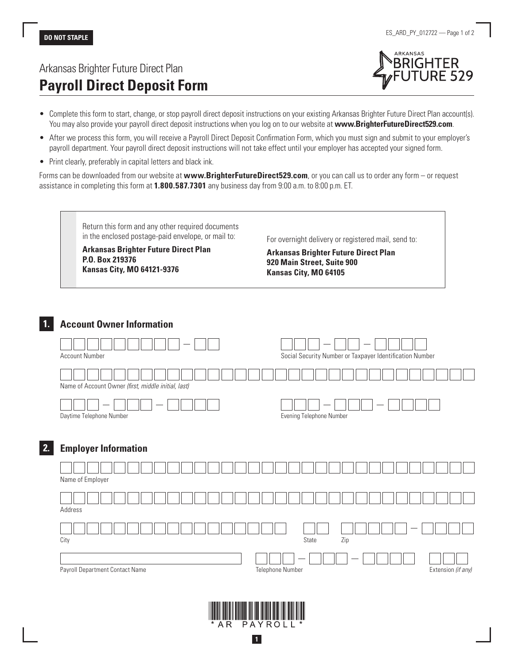# Arkansas Brighter Future Direct Plan **Payroll Direct Deposit Form**



- Complete this form to start, change, or stop payroll direct deposit instructions on your existing Arkansas Brighter Future Direct Plan account(s). You may also provide your payroll direct deposit instructions when you log on to our website at **www.BrighterFutureDirect529.com**.
- After we process this form, you will receive a Payroll Direct Deposit Confirmation Form, which you must sign and submit to your employer's payroll department. Your payroll direct deposit instructions will not take effect until your employer has accepted your signed form.
- Print clearly, preferably in capital letters and black ink.

Forms can be downloaded from our website at **www.BrighterFutureDirect529.com**, or you can call us to order any form – or request assistance in completing this form at **1.800.587.7301** any business day from 9:00 a.m. to 8:00 p.m. ET.

Return this form and any other required documents in the enclosed postage-paid envelope, or mail to:

**Arkansas Brighter Future Direct Plan P.O. Box 219376 Kansas City, MO 64121-9376**

For overnight delivery or registered mail, send to:

**Arkansas Brighter Future Direct Plan 920 Main Street, Suite 900 Kansas City, MO 64105**

### **1. Account Owner Information**

|    | <b>Account Number</b>                               | Social Security Number or Taxpayer Identification Number |
|----|-----------------------------------------------------|----------------------------------------------------------|
|    | Name of Account Owner (first, middle initial, last) |                                                          |
|    | Daytime Telephone Number                            | Evening Telephone Number                                 |
| 2. | <b>Employer Information</b>                         |                                                          |
|    | Name of Employer                                    |                                                          |
|    | Address                                             |                                                          |
|    | City                                                | Zip<br>State                                             |
|    |                                                     |                                                          |

Payroll Department Contact Name Telephone Number Telephone Number **Telephone Number** Extension *(if any)* 



**1**